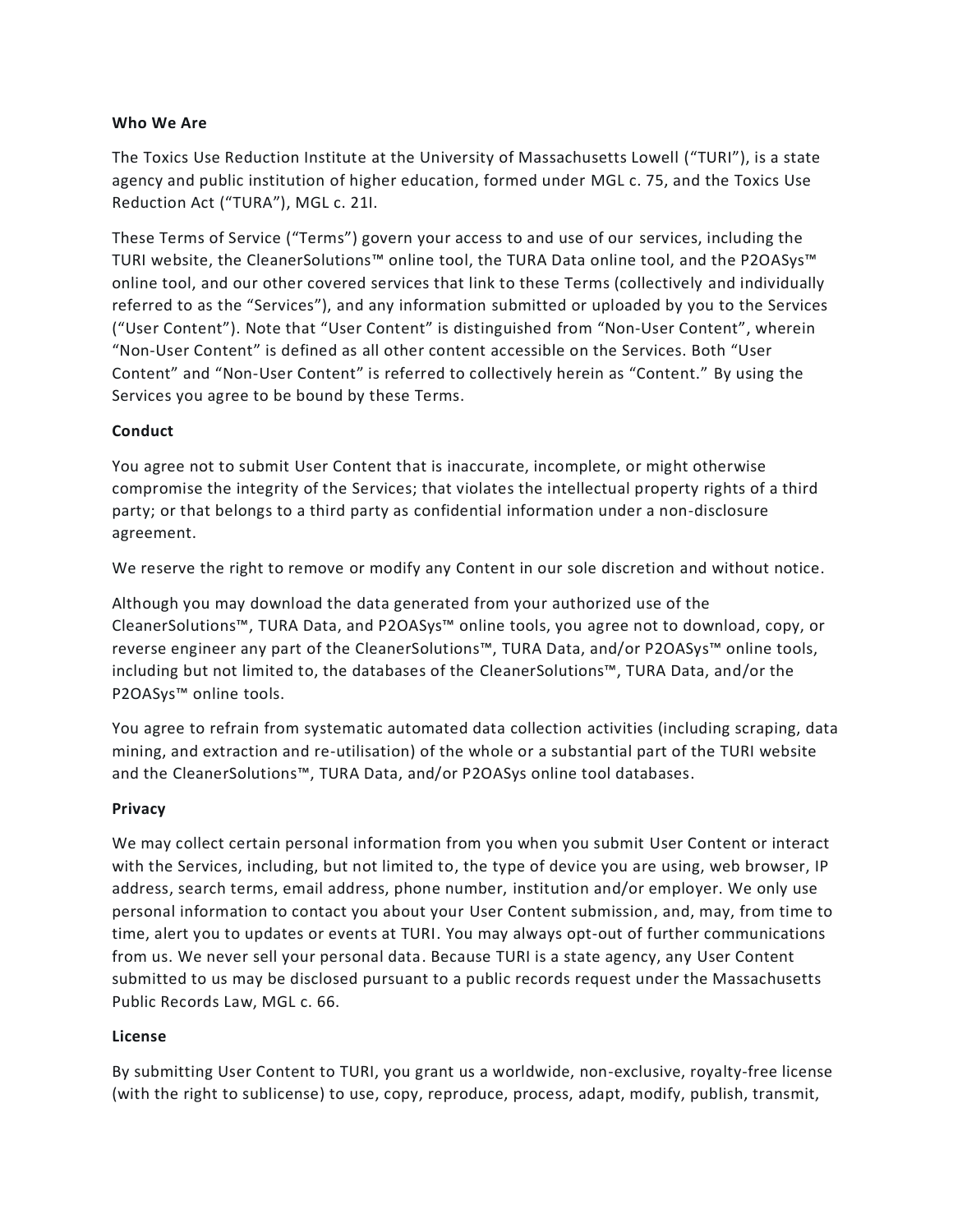#### **Who We Are**

The Toxics Use Reduction Institute at the University of Massachusetts Lowell ("TURI"), is a state agency and public institution of higher education, formed under MGL c. 75, and the Toxics Use Reduction Act ("TURA"), MGL c. 21I.

These Terms of Service ("Terms") govern your access to and use of our services, including the TURI website, the CleanerSolutions™ online tool, the TURA Data online tool, and the P2OASys™ online tool, and our other covered services that link to these Terms (collectively and individually referred to as the "Services"), and any information submitted or uploaded by you to the Services ("User Content"). Note that "User Content" is distinguished from "Non-User Content", wherein "Non-User Content" is defined as all other content accessible on the Services. Both "User Content" and "Non-User Content" is referred to collectively herein as "Content." By using the Services you agree to be bound by these Terms.

#### **Conduct**

You agree not to submit User Content that is inaccurate, incomplete, or might otherwise compromise the integrity of the Services; that violates the intellectual property rights of a third party; or that belongs to a third party as confidential information under a non-disclosure agreement.

We reserve the right to remove or modify any Content in our sole discretion and without notice.

Although you may download the data generated from your authorized use of the CleanerSolutions™, TURA Data, and P2OASys™ online tools, you agree not to download, copy, or reverse engineer any part of the CleanerSolutions™, TURA Data, and/or P2OASys™ online tools, including but not limited to, the databases of the CleanerSolutions™, TURA Data, and/or the P2OASys™ online tools.

You agree to refrain from systematic automated data collection activities (including scraping, data mining, and extraction and re-utilisation) of the whole or a substantial part of the TURI website and the CleanerSolutions™, TURA Data, and/or P2OASys online tool databases.

#### **Privacy**

We may collect certain personal information from you when you submit User Content or interact with the Services, including, but not limited to, the type of device you are using, web browser, IP address, search terms, email address, phone number, institution and/or employer. We only use personal information to contact you about your User Content submission, and, may, from time to time, alert you to updates or events at TURI. You may always opt-out of further communications from us. We never sell your personal data. Because TURI is a state agency, any User Content submitted to us may be disclosed pursuant to a public records request under the Massachusetts Public Records Law, MGL c. 66.

#### **License**

By submitting User Content to TURI, you grant us a worldwide, non-exclusive, royalty-free license (with the right to sublicense) to use, copy, reproduce, process, adapt, modify, publish, transmit,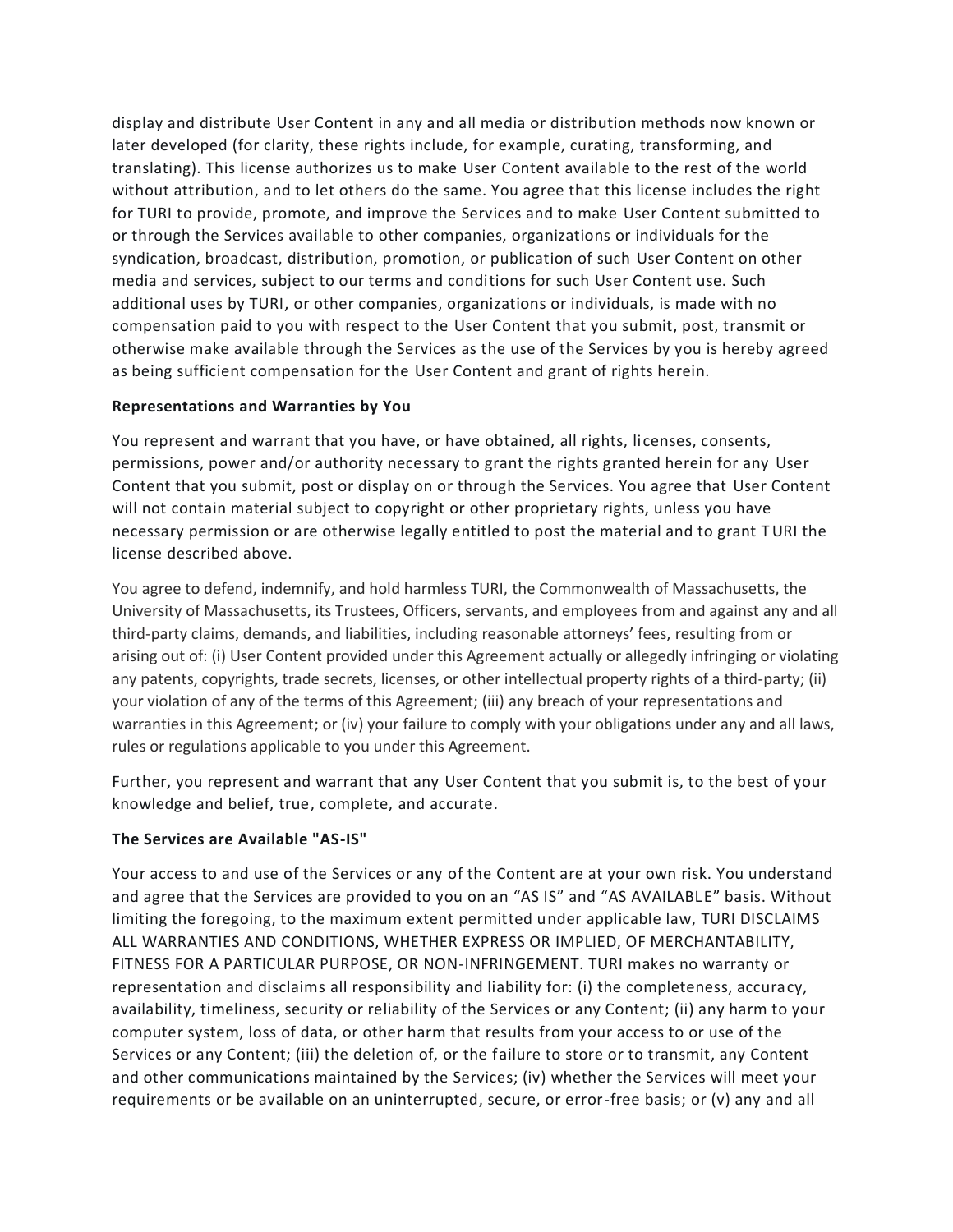display and distribute User Content in any and all media or distribution methods now known or later developed (for clarity, these rights include, for example, curating, transforming, and translating). This license authorizes us to make User Content available to the rest of the world without attribution, and to let others do the same. You agree that this license includes the right for TURI to provide, promote, and improve the Services and to make User Content submitted to or through the Services available to other companies, organizations or individuals for the syndication, broadcast, distribution, promotion, or publication of such User Content on other media and services, subject to our terms and conditions for such User Content use. Such additional uses by TURI, or other companies, organizations or individuals, is made with no compensation paid to you with respect to the User Content that you submit, post, transmit or otherwise make available through the Services as the use of the Services by you is hereby agreed as being sufficient compensation for the User Content and grant of rights herein.

## **Representations and Warranties by You**

You represent and warrant that you have, or have obtained, all rights, licenses, consents, permissions, power and/or authority necessary to grant the rights granted herein for any User Content that you submit, post or display on or through the Services. You agree that User Content will not contain material subject to copyright or other proprietary rights, unless you have necessary permission or are otherwise legally entitled to post the material and to grant TURI the license described above.

You agree to defend, indemnify, and hold harmless TURI, the Commonwealth of Massachusetts, the University of Massachusetts, its Trustees, Officers, servants, and employees from and against any and all third-party claims, demands, and liabilities, including reasonable attorneys' fees, resulting from or arising out of: (i) User Content provided under this Agreement actually or allegedly infringing or violating any patents, copyrights, trade secrets, licenses, or other intellectual property rights of a third-party; (ii) your violation of any of the terms of this Agreement; (iii) any breach of your representations and warranties in this Agreement; or (iv) your failure to comply with your obligations under any and all laws, rules or regulations applicable to you under this Agreement.

Further, you represent and warrant that any User Content that you submit is, to the best of your knowledge and belief, true, complete, and accurate.

## **The Services are Available "AS-IS"**

Your access to and use of the Services or any of the Content are at your own risk. You understand and agree that the Services are provided to you on an "AS IS" and "AS AVAILABLE" basis. Without limiting the foregoing, to the maximum extent permitted under applicable law, TURI DISCLAIMS ALL WARRANTIES AND CONDITIONS, WHETHER EXPRESS OR IMPLIED, OF MERCHANTABILITY, FITNESS FOR A PARTICULAR PURPOSE, OR NON-INFRINGEMENT. TURI makes no warranty or representation and disclaims all responsibility and liability for: (i) the completeness, accuracy, availability, timeliness, security or reliability of the Services or any Content; (ii) any harm to your computer system, loss of data, or other harm that results from your access to or use of the Services or any Content; (iii) the deletion of, or the failure to store or to transmit, any Content and other communications maintained by the Services; (iv) whether the Services will meet your requirements or be available on an uninterrupted, secure, or error-free basis; or (v) any and all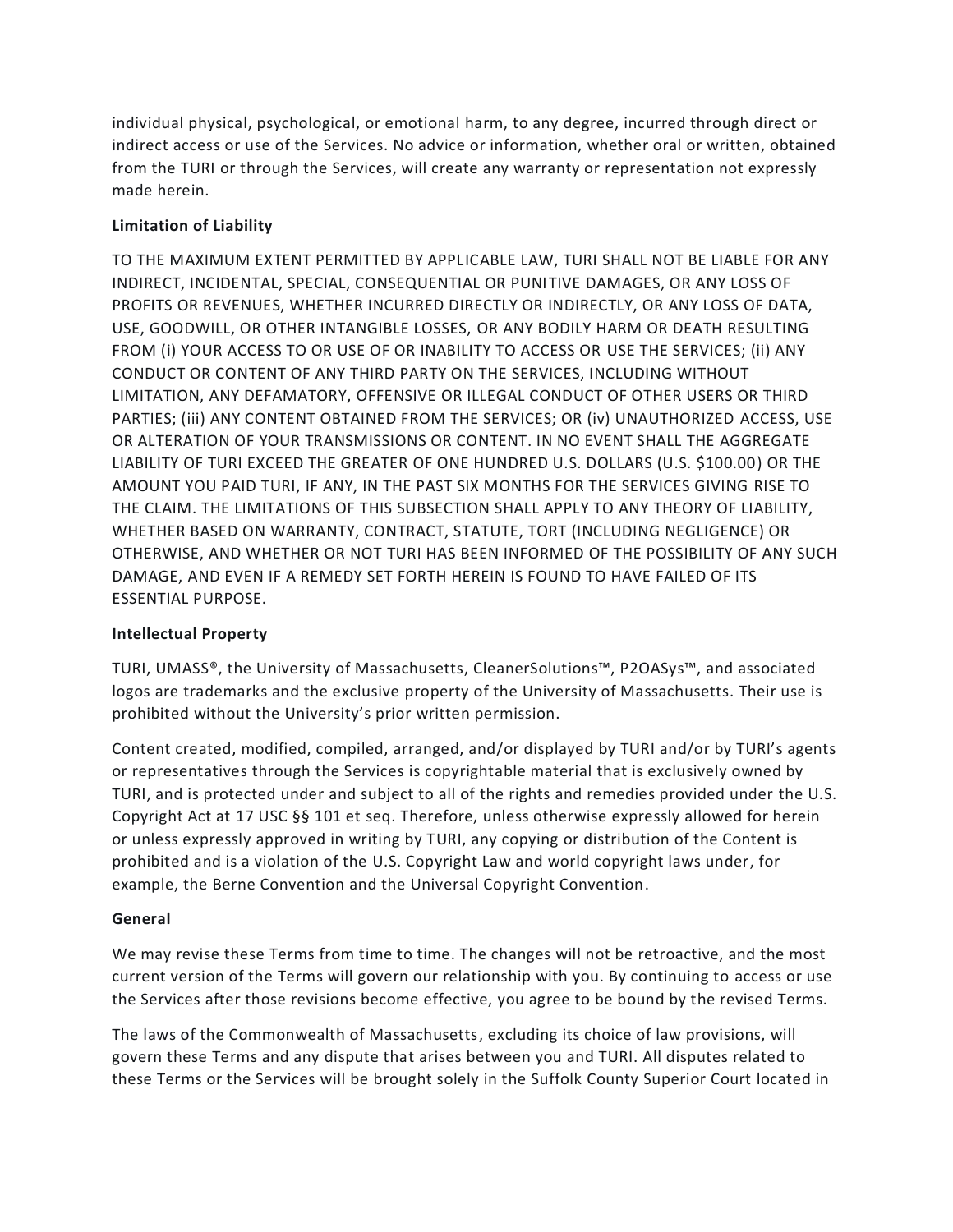individual physical, psychological, or emotional harm, to any degree, incurred through direct or indirect access or use of the Services. No advice or information, whether oral or written, obtained from the TURI or through the Services, will create any warranty or representation not expressly made herein.

# **Limitation of Liability**

TO THE MAXIMUM EXTENT PERMITTED BY APPLICABLE LAW, TURI SHALL NOT BE LIABLE FOR ANY INDIRECT, INCIDENTAL, SPECIAL, CONSEQUENTIAL OR PUNITIVE DAMAGES, OR ANY LOSS OF PROFITS OR REVENUES, WHETHER INCURRED DIRECTLY OR INDIRECTLY, OR ANY LOSS OF DATA, USE, GOODWILL, OR OTHER INTANGIBLE LOSSES, OR ANY BODILY HARM OR DEATH RESULTING FROM (i) YOUR ACCESS TO OR USE OF OR INABILITY TO ACCESS OR USE THE SERVICES; (ii) ANY CONDUCT OR CONTENT OF ANY THIRD PARTY ON THE SERVICES, INCLUDING WITHOUT LIMITATION, ANY DEFAMATORY, OFFENSIVE OR ILLEGAL CONDUCT OF OTHER USERS OR THIRD PARTIES; (iii) ANY CONTENT OBTAINED FROM THE SERVICES; OR (iv) UNAUTHORIZED ACCESS, USE OR ALTERATION OF YOUR TRANSMISSIONS OR CONTENT. IN NO EVENT SHALL THE AGGREGATE LIABILITY OF TURI EXCEED THE GREATER OF ONE HUNDRED U.S. DOLLARS (U.S. \$100.00) OR THE AMOUNT YOU PAID TURI, IF ANY, IN THE PAST SIX MONTHS FOR THE SERVICES GIVING RISE TO THE CLAIM. THE LIMITATIONS OF THIS SUBSECTION SHALL APPLY TO ANY THEORY OF LIABILITY, WHETHER BASED ON WARRANTY, CONTRACT, STATUTE, TORT (INCLUDING NEGLIGENCE) OR OTHERWISE, AND WHETHER OR NOT TURI HAS BEEN INFORMED OF THE POSSIBILITY OF ANY SUCH DAMAGE, AND EVEN IF A REMEDY SET FORTH HEREIN IS FOUND TO HAVE FAILED OF ITS ESSENTIAL PURPOSE.

## **Intellectual Property**

TURI, UMASS®, the University of Massachusetts, CleanerSolutions™, P2OASys™, and associated logos are trademarks and the exclusive property of the University of Massachusetts. Their use is prohibited without the University's prior written permission.

Content created, modified, compiled, arranged, and/or displayed by TURI and/or by TURI's agents or representatives through the Services is copyrightable material that is exclusively owned by TURI, and is protected under and subject to all of the rights and remedies provided under the U.S. Copyright Act at 17 USC §§ 101 et seq. Therefore, unless otherwise expressly allowed for herein or unless expressly approved in writing by TURI, any copying or distribution of the Content is prohibited and is a violation of the U.S. Copyright Law and world copyright laws under, for example, the Berne Convention and the Universal Copyright Convention.

## **General**

We may revise these Terms from time to time. The changes will not be retroactive, and the most current version of the Terms will govern our relationship with you. By continuing to access or use the Services after those revisions become effective, you agree to be bound by the revised Terms.

The laws of the Commonwealth of Massachusetts, excluding its choice of law provisions, will govern these Terms and any dispute that arises between you and TURI. All disputes related to these Terms or the Services will be brought solely in the Suffolk County Superior Court located in